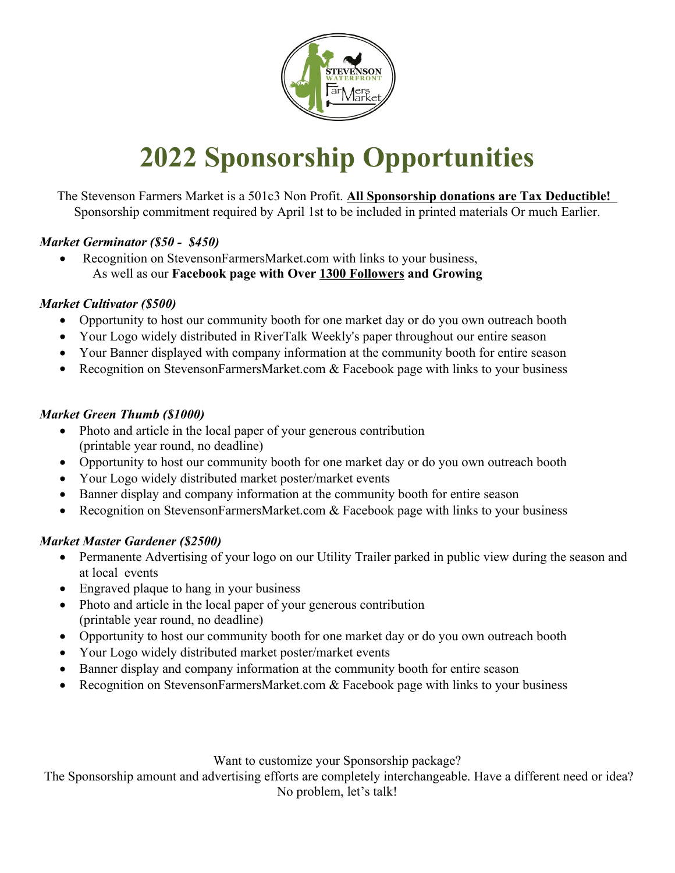

# **2022 Sponsorship Opportunities**

The Stevenson Farmers Market is a 501c3 Non Profit. **All Sponsorship donations are Tax Deductible!** Sponsorship commitment required by April 1st to be included in printed materials Or much Earlier.

#### *Market Germinator (\$50 - \$450)*

 Recognition on StevensonFarmersMarket.com with links to your business, As well as our **Facebook page with Over 1300 Followers and Growing**

#### *Market Cultivator (\$500)*

- Opportunity to host our community booth for one market day or do you own outreach booth
- Your Logo widely distributed in RiverTalk Weekly's paper throughout our entire season
- Your Banner displayed with company information at the community booth for entire season
- Recognition on StevensonFarmersMarket.com  $&$  Facebook page with links to your business

#### *Market Green Thumb (\$1000)*

- Photo and article in the local paper of your generous contribution (printable year round, no deadline)
- Opportunity to host our community booth for one market day or do you own outreach booth
- Your Logo widely distributed market poster/market events
- Banner display and company information at the community booth for entire season
- Recognition on StevensonFarmersMarket.com & Facebook page with links to your business

#### *Market Master Gardener (\$2500)*

- Permanente Advertising of your logo on our Utility Trailer parked in public view during the season and at local events
- Engraved plaque to hang in your business
- Photo and article in the local paper of your generous contribution (printable year round, no deadline)
- Opportunity to host our community booth for one market day or do you own outreach booth
- Your Logo widely distributed market poster/market events
- Banner display and company information at the community booth for entire season
- Recognition on StevensonFarmersMarket.com & Facebook page with links to your business

Want to customize your Sponsorship package?

The Sponsorship amount and advertising efforts are completely interchangeable. Have a different need or idea?

No problem, let's talk!